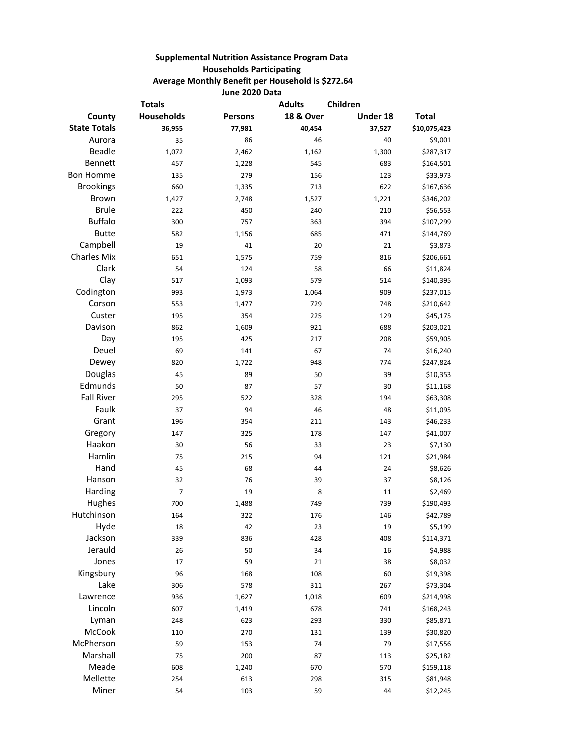## **Supplemental Nutrition Assistance Program Data Households Participating Average Monthly Benefit per Household is \$272.64 June 2020 Data**

| <b>Totals</b>       |                   | <b>Adults</b>  | Children             |          |              |
|---------------------|-------------------|----------------|----------------------|----------|--------------|
| County              | <b>Households</b> | <b>Persons</b> | <b>18 &amp; Over</b> | Under 18 | <b>Total</b> |
| <b>State Totals</b> | 36,955            | 77,981         | 40,454               | 37,527   | \$10,075,423 |
| Aurora              | 35                | 86             | 46                   | 40       | \$9,001      |
| <b>Beadle</b>       | 1,072             | 2,462          | 1,162                | 1,300    | \$287,317    |
| Bennett             | 457               | 1,228          | 545                  | 683      | \$164,501    |
| <b>Bon Homme</b>    | 135               | 279            | 156                  | 123      | \$33,973     |
| <b>Brookings</b>    | 660               | 1,335          | 713                  | 622      | \$167,636    |
| <b>Brown</b>        | 1,427             | 2,748          | 1,527                | 1,221    | \$346,202    |
| <b>Brule</b>        | 222               | 450            | 240                  | 210      | \$56,553     |
| <b>Buffalo</b>      | 300               | 757            | 363                  | 394      | \$107,299    |
| <b>Butte</b>        | 582               | 1,156          | 685                  | 471      | \$144,769    |
| Campbell            | 19                | 41             | 20                   | 21       | \$3,873      |
| <b>Charles Mix</b>  | 651               | 1,575          | 759                  | 816      | \$206,661    |
| Clark               | 54                | 124            | 58                   | 66       | \$11,824     |
| Clay                | 517               | 1,093          | 579                  | 514      | \$140,395    |
| Codington           | 993               | 1,973          | 1,064                | 909      | \$237,015    |
| Corson              | 553               | 1,477          | 729                  | 748      | \$210,642    |
| Custer              | 195               | 354            | 225                  | 129      | \$45,175     |
| Davison             | 862               | 1,609          | 921                  | 688      | \$203,021    |
| Day                 | 195               | 425            | 217                  | 208      | \$59,905     |
| Deuel               | 69                | 141            | 67                   | 74       | \$16,240     |
| Dewey               | 820               | 1,722          | 948                  | 774      | \$247,824    |
| Douglas             | 45                | 89             | 50                   | 39       | \$10,353     |
| Edmunds             | 50                | 87             | 57                   | 30       | \$11,168     |
| <b>Fall River</b>   | 295               | 522            | 328                  | 194      | \$63,308     |
| Faulk               | 37                | 94             | 46                   | 48       | \$11,095     |
| Grant               | 196               | 354            | 211                  | 143      | \$46,233     |
| Gregory             | 147               | 325            | 178                  | 147      | \$41,007     |
| Haakon              | 30                | 56             | 33                   | 23       | \$7,130      |
| Hamlin              | 75                | 215            | 94                   | 121      | \$21,984     |
| Hand                | 45                | 68             | 44                   | 24       | \$8,626      |
| Hanson              | 32                | 76             | 39                   | 37       | \$8,126      |
| Harding             | 7                 | 19             | 8                    | 11       | \$2,469      |
| Hughes              | 700               | 1,488          | 749                  | 739      | \$190,493    |
| Hutchinson          | 164               | 322            | 176                  | 146      | \$42,789     |
| Hyde                | 18                | 42             | 23                   | 19       | \$5,199      |
| Jackson             | 339               | 836            | 428                  | 408      | \$114,371    |
| Jerauld             | 26                | 50             | 34                   | 16       | \$4,988      |
| Jones               | 17                | 59             | 21                   | 38       | \$8,032      |
| Kingsbury           | 96                | 168            | 108                  | 60       | \$19,398     |
| Lake                | 306               | 578            | 311                  | 267      | \$73,304     |
| Lawrence            | 936               | 1,627          | 1,018                | 609      | \$214,998    |
| Lincoln             | 607               | 1,419          | 678                  | 741      | \$168,243    |
| Lyman               | 248               | 623            | 293                  | 330      | \$85,871     |
| McCook              | 110               | 270            | 131                  | 139      | \$30,820     |
| McPherson           | 59                | 153            | 74                   | 79       | \$17,556     |
| Marshall            | 75                | 200            | 87                   | 113      | \$25,182     |
| Meade               | 608               | 1,240          | 670                  | 570      | \$159,118    |
| Mellette            | 254               | 613            | 298                  | 315      | \$81,948     |
| Miner               | 54                | 103            | 59                   | 44       | \$12,245     |